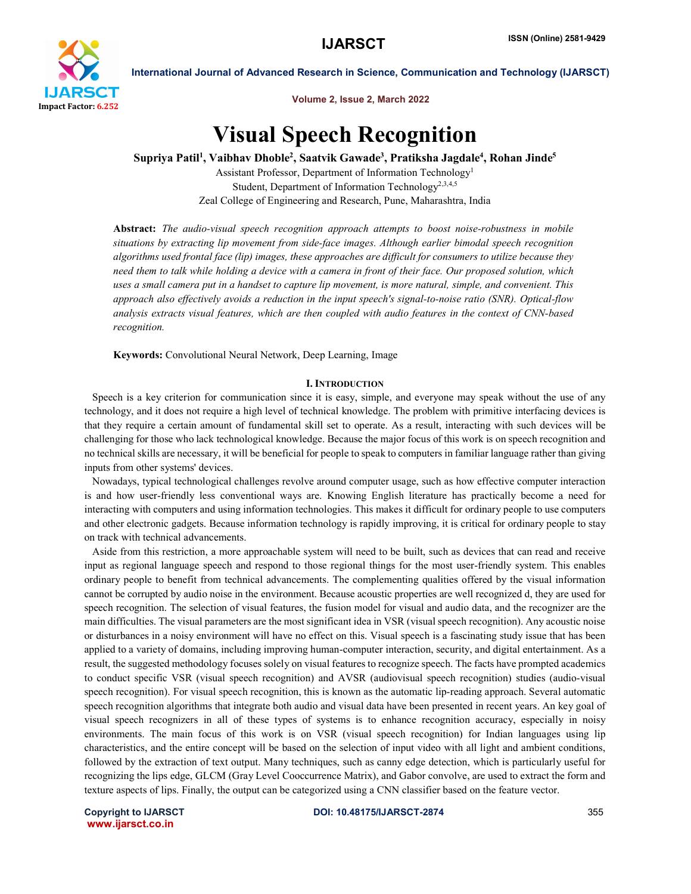

Volume 2, Issue 2, March 2022

# Visual Speech Recognition

Supriya Patil<sup>1</sup>, Vaibhav Dhoble<sup>2</sup>, Saatvik Gawade<sup>3</sup>, Pratiksha Jagdale<sup>4</sup>, Rohan Jinde<sup>5</sup>

Assistant Professor, Department of Information Technology1 Student, Department of Information Technology<sup>2,3,4,5</sup> Zeal College of Engineering and Research, Pune, Maharashtra, India

Abstract: *The audio-visual speech recognition approach attempts to boost noise-robustness in mobile situations by extracting lip movement from side-face images. Although earlier bimodal speech recognition algorithms used frontal face (lip) images, these approaches are difficult for consumers to utilize because they need them to talk while holding a device with a camera in front of their face. Our proposed solution, which uses a small camera put in a handset to capture lip movement, is more natural, simple, and convenient. This approach also effectively avoids a reduction in the input speech's signal-to-noise ratio (SNR). Optical-flow analysis extracts visual features, which are then coupled with audio features in the context of CNN-based recognition.*

Keywords: Convolutional Neural Network, Deep Learning, Image

### **I. INTRODUCTION**

 Speech is a key criterion for communication since it is easy, simple, and everyone may speak without the use of any technology, and it does not require a high level of technical knowledge. The problem with primitive interfacing devices is that they require a certain amount of fundamental skill set to operate. As a result, interacting with such devices will be challenging for those who lack technological knowledge. Because the major focus of this work is on speech recognition and no technical skills are necessary, it will be beneficial for people to speak to computers in familiar language rather than giving inputs from other systems' devices.

 Nowadays, typical technological challenges revolve around computer usage, such as how effective computer interaction is and how user-friendly less conventional ways are. Knowing English literature has practically become a need for interacting with computers and using information technologies. This makes it difficult for ordinary people to use computers and other electronic gadgets. Because information technology is rapidly improving, it is critical for ordinary people to stay on track with technical advancements.

 Aside from this restriction, a more approachable system will need to be built, such as devices that can read and receive input as regional language speech and respond to those regional things for the most user-friendly system. This enables ordinary people to benefit from technical advancements. The complementing qualities offered by the visual information cannot be corrupted by audio noise in the environment. Because acoustic properties are well recognized d, they are used for speech recognition. The selection of visual features, the fusion model for visual and audio data, and the recognizer are the main difficulties. The visual parameters are the most significant idea in VSR (visual speech recognition). Any acoustic noise or disturbances in a noisy environment will have no effect on this. Visual speech is a fascinating study issue that has been applied to a variety of domains, including improving human-computer interaction, security, and digital entertainment. As a result, the suggested methodology focuses solely on visual features to recognize speech. The facts have prompted academics to conduct specific VSR (visual speech recognition) and AVSR (audiovisual speech recognition) studies (audio-visual speech recognition). For visual speech recognition, this is known as the automatic lip-reading approach. Several automatic speech recognition algorithms that integrate both audio and visual data have been presented in recent years. An key goal of visual speech recognizers in all of these types of systems is to enhance recognition accuracy, especially in noisy environments. The main focus of this work is on VSR (visual speech recognition) for Indian languages using lip characteristics, and the entire concept will be based on the selection of input video with all light and ambient conditions, followed by the extraction of text output. Many techniques, such as canny edge detection, which is particularly useful for recognizing the lips edge, GLCM (Gray Level Cooccurrence Matrix), and Gabor convolve, are used to extract the form and texture aspects of lips. Finally, the output can be categorized using a CNN classifier based on the feature vector.

www.ijarsct.co.in

Copyright to IJARSCT DOI: 10.48175/IJARSCT-2874 355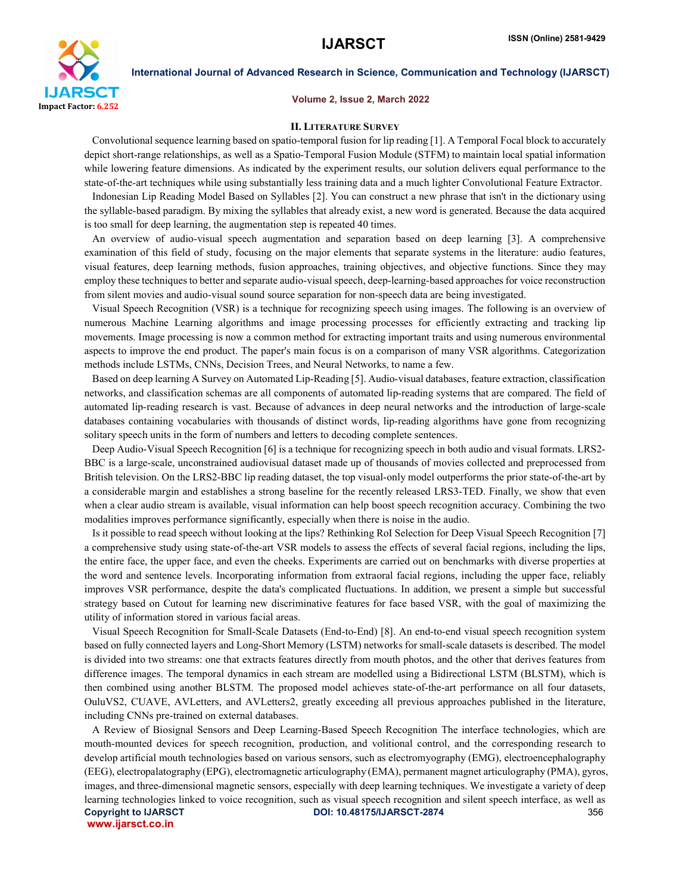

#### Volume 2, Issue 2, March 2022

#### II. LITERATURE SURVEY

 Convolutional sequence learning based on spatio-temporal fusion for lip reading [1]. A Temporal Focal block to accurately depict short-range relationships, as well as a Spatio-Temporal Fusion Module (STFM) to maintain local spatial information while lowering feature dimensions. As indicated by the experiment results, our solution delivers equal performance to the state-of-the-art techniques while using substantially less training data and a much lighter Convolutional Feature Extractor.

 Indonesian Lip Reading Model Based on Syllables [2]. You can construct a new phrase that isn't in the dictionary using the syllable-based paradigm. By mixing the syllables that already exist, a new word is generated. Because the data acquired is too small for deep learning, the augmentation step is repeated 40 times.

 An overview of audio-visual speech augmentation and separation based on deep learning [3]. A comprehensive examination of this field of study, focusing on the major elements that separate systems in the literature: audio features, visual features, deep learning methods, fusion approaches, training objectives, and objective functions. Since they may employ these techniques to better and separate audio-visual speech, deep-learning-based approaches for voice reconstruction from silent movies and audio-visual sound source separation for non-speech data are being investigated.

 Visual Speech Recognition (VSR) is a technique for recognizing speech using images. The following is an overview of numerous Machine Learning algorithms and image processing processes for efficiently extracting and tracking lip movements. Image processing is now a common method for extracting important traits and using numerous environmental aspects to improve the end product. The paper's main focus is on a comparison of many VSR algorithms. Categorization methods include LSTMs, CNNs, Decision Trees, and Neural Networks, to name a few.

 Based on deep learning A Survey on Automated Lip-Reading [5]. Audio-visual databases, feature extraction, classification networks, and classification schemas are all components of automated lip-reading systems that are compared. The field of automated lip-reading research is vast. Because of advances in deep neural networks and the introduction of large-scale databases containing vocabularies with thousands of distinct words, lip-reading algorithms have gone from recognizing solitary speech units in the form of numbers and letters to decoding complete sentences.

 Deep Audio-Visual Speech Recognition [6] is a technique for recognizing speech in both audio and visual formats. LRS2- BBC is a large-scale, unconstrained audiovisual dataset made up of thousands of movies collected and preprocessed from British television. On the LRS2-BBC lip reading dataset, the top visual-only model outperforms the prior state-of-the-art by a considerable margin and establishes a strong baseline for the recently released LRS3-TED. Finally, we show that even when a clear audio stream is available, visual information can help boost speech recognition accuracy. Combining the two modalities improves performance significantly, especially when there is noise in the audio.

 Is it possible to read speech without looking at the lips? Rethinking RoI Selection for Deep Visual Speech Recognition [7] a comprehensive study using state-of-the-art VSR models to assess the effects of several facial regions, including the lips, the entire face, the upper face, and even the cheeks. Experiments are carried out on benchmarks with diverse properties at the word and sentence levels. Incorporating information from extraoral facial regions, including the upper face, reliably improves VSR performance, despite the data's complicated fluctuations. In addition, we present a simple but successful strategy based on Cutout for learning new discriminative features for face based VSR, with the goal of maximizing the utility of information stored in various facial areas.

 Visual Speech Recognition for Small-Scale Datasets (End-to-End) [8]. An end-to-end visual speech recognition system based on fully connected layers and Long-Short Memory (LSTM) networks for small-scale datasets is described. The model is divided into two streams: one that extracts features directly from mouth photos, and the other that derives features from difference images. The temporal dynamics in each stream are modelled using a Bidirectional LSTM (BLSTM), which is then combined using another BLSTM. The proposed model achieves state-of-the-art performance on all four datasets, OuluVS2, CUAVE, AVLetters, and AVLetters2, greatly exceeding all previous approaches published in the literature, including CNNs pre-trained on external databases.

Copyright to IJARSCT DOI: 10.48175/IJARSCT-2874 356 www.ijarsct.co.in A Review of Biosignal Sensors and Deep Learning-Based Speech Recognition The interface technologies, which are mouth-mounted devices for speech recognition, production, and volitional control, and the corresponding research to develop artificial mouth technologies based on various sensors, such as electromyography (EMG), electroencephalography (EEG), electropalatography (EPG), electromagnetic articulography (EMA), permanent magnet articulography (PMA), gyros, images, and three-dimensional magnetic sensors, especially with deep learning techniques. We investigate a variety of deep learning technologies linked to voice recognition, such as visual speech recognition and silent speech interface, as well as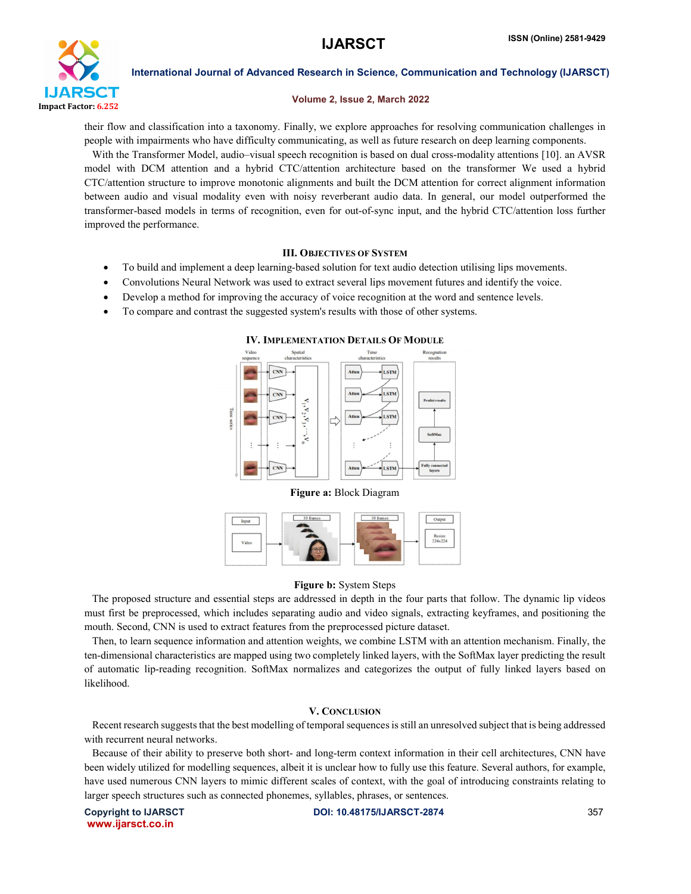

#### Volume 2, Issue 2, March 2022

their flow and classification into a taxonomy. Finally, we explore approaches for resolving communication challenges in people with impairments who have difficulty communicating, as well as future research on deep learning components.

 With the Transformer Model, audio–visual speech recognition is based on dual cross-modality attentions [10]. an AVSR model with DCM attention and a hybrid CTC/attention architecture based on the transformer We used a hybrid CTC/attention structure to improve monotonic alignments and built the DCM attention for correct alignment information between audio and visual modality even with noisy reverberant audio data. In general, our model outperformed the transformer-based models in terms of recognition, even for out-of-sync input, and the hybrid CTC/attention loss further improved the performance.

### III. OBJECTIVES OF SYSTEM

- To build and implement a deep learning-based solution for text audio detection utilising lips movements.
- Convolutions Neural Network was used to extract several lips movement futures and identify the voice.
- Develop a method for improving the accuracy of voice recognition at the word and sentence levels.
- To compare and contrast the suggested system's results with those of other systems.



#### IV. IMPLEMENTATION DETAILS OF MODULE





### Figure b: System Steps

 The proposed structure and essential steps are addressed in depth in the four parts that follow. The dynamic lip videos must first be preprocessed, which includes separating audio and video signals, extracting keyframes, and positioning the mouth. Second, CNN is used to extract features from the preprocessed picture dataset.

 Then, to learn sequence information and attention weights, we combine LSTM with an attention mechanism. Finally, the ten-dimensional characteristics are mapped using two completely linked layers, with the SoftMax layer predicting the result of automatic lip-reading recognition. SoftMax normalizes and categorizes the output of fully linked layers based on likelihood.

### V. CONCLUSION

 Recent research suggests that the best modelling of temporal sequences is still an unresolved subject that is being addressed with recurrent neural networks.

 Because of their ability to preserve both short- and long-term context information in their cell architectures, CNN have been widely utilized for modelling sequences, albeit it is unclear how to fully use this feature. Several authors, for example, have used numerous CNN layers to mimic different scales of context, with the goal of introducing constraints relating to larger speech structures such as connected phonemes, syllables, phrases, or sentences.

www.ijarsct.co.in

Copyright to IJARSCT DOI: 10.48175/IJARSCT-2874 357